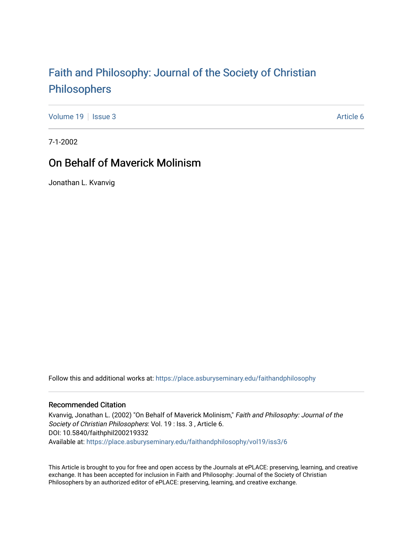# [Faith and Philosophy: Journal of the Society of Christian](https://place.asburyseminary.edu/faithandphilosophy)  [Philosophers](https://place.asburyseminary.edu/faithandphilosophy)

[Volume 19](https://place.asburyseminary.edu/faithandphilosophy/vol19) | [Issue 3](https://place.asburyseminary.edu/faithandphilosophy/vol19/iss3) Article 6

7-1-2002

## On Behalf of Maverick Molinism

Jonathan L. Kvanvig

Follow this and additional works at: [https://place.asburyseminary.edu/faithandphilosophy](https://place.asburyseminary.edu/faithandphilosophy?utm_source=place.asburyseminary.edu%2Ffaithandphilosophy%2Fvol19%2Fiss3%2F6&utm_medium=PDF&utm_campaign=PDFCoverPages)

### Recommended Citation

Kvanvig, Jonathan L. (2002) "On Behalf of Maverick Molinism," Faith and Philosophy: Journal of the Society of Christian Philosophers: Vol. 19 : Iss. 3 , Article 6. DOI: 10.5840/faithphil200219332 Available at: [https://place.asburyseminary.edu/faithandphilosophy/vol19/iss3/6](https://place.asburyseminary.edu/faithandphilosophy/vol19/iss3/6?utm_source=place.asburyseminary.edu%2Ffaithandphilosophy%2Fvol19%2Fiss3%2F6&utm_medium=PDF&utm_campaign=PDFCoverPages)

This Article is brought to you for free and open access by the Journals at ePLACE: preserving, learning, and creative exchange. It has been accepted for inclusion in Faith and Philosophy: Journal of the Society of Christian Philosophers by an authorized editor of ePLACE: preserving, learning, and creative exchange.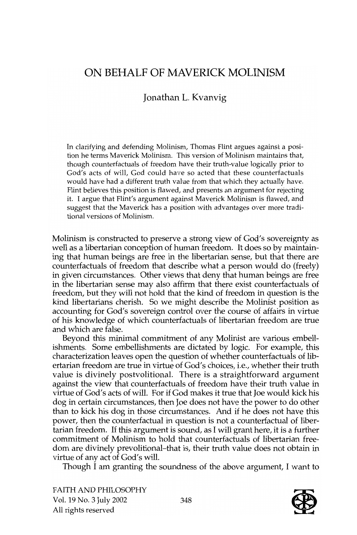### ON BEHALF OF MAVERICK MOLINISM

### Jonathan L. Kvanvig

In clarifying and defending Molinism, Thomas Flint argues against a position he terms Maverick Molinism. This version of Molinism maintains that, though counterfactuals of freedom have their truth-value logically prior to God's acts of will, God could have so acted that these counterfactuals would have had a different truth value from that which they actually have. Flint believes this position is flawed, and presents an argument for rejecting it. I argue that Flint's argument against Maverick Molinism is flawed, and suggest that the Maverick has a position with advantages over more traditional versions of Molinism.

Molinism is constructed to preserve a strong view of God's sovereignty as well as a libertarian conception of human freedom. It does so by maintaining that human beings are free in the libertarian sense, but that there are counterfactuals of freedom that describe what a person would do (freely) in given circumstances. Other views that deny that human beings are free in the libertarian sense may also affirm that there exist counterfactuals of freedom, but they will not hold that the kind of freedom in question is the kind libertarians cherish. So we might describe the Molinist position as accounting for God's sovereign control over the course of affairs in virtue of his knowledge of which counterfactuals of libertarian freedom are true and which are false.

Beyond this minimal commitment of any Molinist are various embellishments. Some embellishments are dictated by logic. For example, this characterization leaves open the question of whether counterfactuals of libertarian freedom are true in virtue of God's choices, i.e., whether their truth value is divinely postvolitional. There is a straightforward argument against the view that counterfactuals of freedom have their truth value in virtue of God's acts of will. For if God makes it true that Joe would kick his dog in certain circumstances, then Joe does not have the power to do other than to kick his dog in those circumstances. And if he does not have this power, then the counterfactual in question is not a counterfactual of libertarian freedom. If this argument is sound, as I will grant here, it is a further commitment of Molinism to hold that counterfactuals of libertarian freedom are divinely prevolitional-that is, their truth value does not obtain in virtue of any act of God's will.

Though I am granting the soundness of the above argument, I want to

FAITH AND PHILOSOPHY Vol. 19 No.3 July 2002 All rights reserved

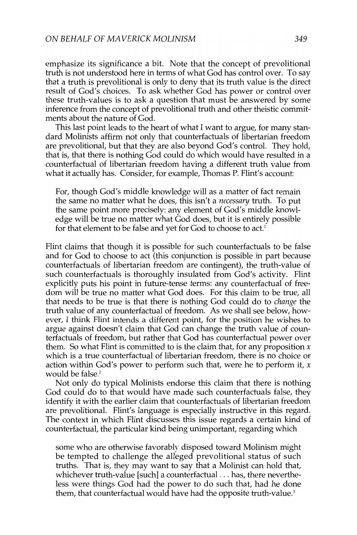emphasize its significance a bit. Note that the concept of prevolitional truth is not understood here in terms of what God has control over. To say that a truth is prevolitional is only to deny that its truth value is the direct result of God's choices. To ask whether God has power or control over these truth-values is to ask a question that must be answered by some inference from the concept of prevolitional truth and other theistic commitments about the nature of God.

This last point leads to the heart of what I want to argue, for many standard Molinists affirm not only that counterfactuals of libertarian freedom are prevolitional, but that they are also beyond God's control. They hold, that is, that there is nothing God could do which would have resulted in a counterfactual of libertarian freedom having a different truth value from what it actually has. Consider, for example, Thomas P. Flint's account:

For, though God's middle knowledge will as a matter of fact remain the same no matter what he does, this isn't a *necessary* truth. To put the same point more precisely: any element of God's middle knowledge will be true no matter what God does, but it is entirely possible for that element to be false and yet for God to choose to act.<sup>1</sup>

Flint claims that though it is possible for such counterfactuals to be false and for God to choose to act (this conjunction is possible in part because counterfactuals of libertarian freedom are contingent), the truth-value of such counterfactuals is thoroughly insulated from God's activity. Flint explicitly puts his point in future-tense terms: any counterfactual of freedom will be true no matter what God does. For this claim to be true, all that needs to be true is that there is nothing God could do to *change* the truth value of any counterfactual of freedom. As we shall see below, however, I think Flint intends a different point, for the position he wishes to argue against doesn't claim that God can change the truth value of counterfactuals of freedom, but rather that God has counterfactual power over them. So what Flint is committed to is the claim that, for any proposition *x*  which is a true counterfactual of libertarian freedom, there is no choice or action within God's power to perform such that, were he to perform it, *x*  would be false.<sup>2</sup>

Not only do typical Molinists endorse this claim that there is nothing God could do to that would have made such counterfactuals false, they identify it with the earlier claim that counterfactuals of libertarian freedom are prevolitional. Flint's language is especially instructive in this regard. The context in which Flint discusses this issue regards a certain kind of counterfactual, the particular kind being unimportant, regarding which

some who are otherwise favorably disposed toward Molinism might be tempted to challenge the alleged prevolitional status of such truths. That is, they may want to say that a Molinist can hold that, whichever truth-value [such] a counterfactual ... has, there nevertheless were things God had the power to do such that, had he done them, that counterfactual would have had the opposite truth-value.<sup>3</sup>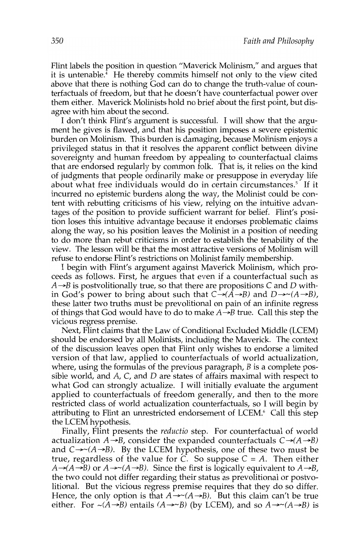Flint labels the position in question "Maverick Molinism," and argues that it is untenable. ${}^{4}$  He thereby commits himself not only to the view cited above that there is nothing God can do to change the truth-value of counterfactuals of freedom, but that he doesn't have counterfactual power over them either. Maverick Molinists hold no brief about the first point, but disagree with him about the second.

I don't think Flint's argument is successful. I will show that the argument he gives is flawed, and that his position imposes a severe epistemic burden on Molinism. This burden is damaging, because Molinism enjoys a privileged status in that it resolves the apparent conflict between divine sovereignty and human freedom by appealing to counterfactual claims that are endorsed regularly by common folk. That is, it relies on the kind of judgments that people ordinarily make or presuppose in everyday life about what free individuals would do in certain circumstances.5 If it incurred no epistemic burdens along the way, the Molinist could be content with rebutting criticisms of his view, relying on the intuitive advantages of the position to provide sufficient warrant for belief. Flint's position loses this intuitive advantage because it endorses problematic claims along the way, so his position leaves the Molinist in a position of needing to do more than rebut criticisms in order to establish the tenability of the view. The lesson will be that the most attractive versions of Molinism will refuse to endorse Flint's restrictions on Molinist family membership.

I begin with Flint's argument against Maverick Molinism, which proceeds as follows. First, he argues that even if a counterfactual such as  $A \rightarrow B$  is postvolitionally true, so that there are propositions C and D within God's power to bring about such that  $C\rightarrow(A\rightarrow B)$  and  $D\rightarrow(\rightarrow A\rightarrow B)$ , these latter two truths must be prevolitional on pain of an infinite regress of things that God would have to do to make  $A \rightarrow B$  true. Call this step the vicious regress premise.

Next, Flint claims that the Law of Conditional Excluded Middle (LCEM) should be endorsed by all Molinists, including the Maverick. The context of the discussion leaves open that Flint only wishes to endorse a limited version of that law, applied to counterfactuals of world actualization, where, using the formulas of the previous paragraph, *B* is a complete possible world, and  $A$ ,  $C$ , and  $D$  are states of affairs maximal with respect to what God can strongly actualize. I will initially evaluate the argument applied to counterfactuals of freedom generally, and then to the more restricted class of world actualization counterfactuals, so I will begin by attributing to Flint an unrestricted endorsement of LCEM.<sup>6</sup> Call this step the LCEM hypothesis.

Finally, Flint presents the *reductio* step. For counterfactual of world actualization  $A \rightarrow B$ , consider the expanded counterfactuals  $C \rightarrow (A \rightarrow B)$ and  $C \rightarrow (A \rightarrow B)$ . By the LCEM hypothesis, one of these two must be true, regardless of the value for C. So suppose  $C = A$ . Then either  $A \rightarrow (A \rightarrow B)$  or  $A \rightarrow \sim (A \rightarrow B)$ . Since the first is logically equivalent to  $A \rightarrow B$ , the two could not differ regarding their status as prevolitional or postvolitional. But the vicious regress premise requires that they do so differ. Hence, the only option is that  $A \rightarrow (A \rightarrow B)$ . But this claim can't be true either. For  $\sim(A\rightarrow B)$  entails  $(A\rightarrow\sim B)$  (by LCEM), and so  $A\rightarrow\sim(A\rightarrow B)$  is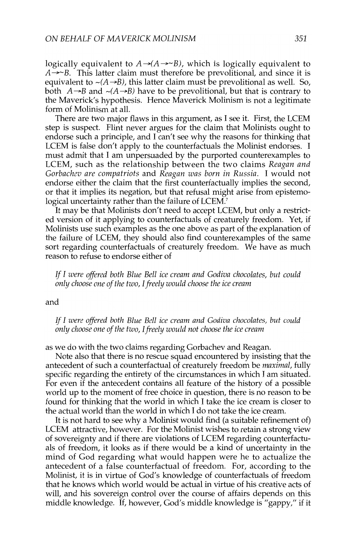logically equivalent to  $A \rightarrow (A \rightarrow B)$ , which is logically equivalent to  $A \rightarrow B$ . This latter claim must therefore be prevolitional, and since it is equivalent to  $\sim(A\rightarrow B)$ , this latter claim must be prevolitional as well. So, both  $A \rightarrow B$  and  $\sim(A \rightarrow B)$  have to be prevolitional, but that is contrary to the Maverick's hypothesis. Hence Maverick Molinism is not a legitimate form of Molinism at all.

There are two major flaws in this argument, as I see it. First, the LCEM step is suspect. Flint never argues for the claim that Molinists ought to endorse such a principle, and I can't see why the reasons for thinking that LCEM is false don't apply to the counterfactuals the Molinist endorses. I must admit that I am unpersuaded by the purported counterexamples to LCEM, such as the relationship between the two claims *Reagan and Gorbachev are compatriots* and *Reagan was born in Russia.* I would not endorse either the claim that the first counterfactually implies the second, or that it implies its negation, but that refusal might arise from epistemological uncertainty rather than the failure of LCEM.<sup>7</sup>

It may be that Molinists don't need to accept LCEM, but only a restricted version of it applying to counterfactuals of creaturely freedom. Yet, if Molinists use such examples as the one above as part of the explanation of the failure of LCEM, they should also find counterexamples of the same sort regarding counterfactuals of creaturely freedom. We have as much reason to refuse to endorse either of

*If* I *were offered both Blue Bell ice cream and Godiva chocolates, but could only choose one of the two,* I *freely would choose the ice cream* 

#### and

If *I were offered both Blue Bell ice cream and Godiva chocolates, but could only choose one of the two,* I *freely would not choose the ice cream* 

as we do with the two claims regarding Gorbachev and Reagan.

Note also that there is no rescue squad encountered by insisting that the antecedent of such a counterfactual of creaturely freedom be *maximal,* fully specific regarding the entirety of the circumstances in which I am situated. For even if the antecedent contains all feature of the history of a possible world up to the moment of free choice in question, there is no reason to be found for thinking that the world in which I take the ice cream is closer to the actual world than the world in which I do not take the ice cream.

It is not hard to see why a Molinist would find (a suitable refinement of) LCEM attractive, however. For the Molinist wishes to retain a strong view of sovereignty and if there are violations of LCEM regarding counterfactuals of freedom, it looks as if there would be a kind of uncertainty in the mind of God regarding what would happen were he to actualize the antecedent of a false counterfactual of freedom. For, according to the Molinist, it is in virtue of God's knowledge of counterfactuals of freedom that he knows which world would be actual in virtue of his creative acts of will, and his sovereign control over the course of affairs depends on this middle knowledge. If, however, God's middle knowledge is "gappy," if it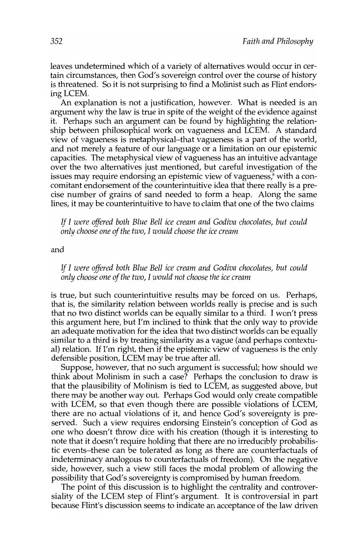leaves undetermined which of a variety of alternatives would occur in certain circumstances, then God's sovereign control over the course of history is threatened. So it is not surprising to find a Molinist such as Flint endorsing LCEM.

An explanation is not a justification, however. What is needed is an argument why the law is true in spite of the weight of the evidence against it. Perhaps such an argument can be found by highlighting the relationship between philosophical work on vagueness and LCEM. A standard view of vagueness is metaphysical-that vagueness is a part of the world, and not merely a feature of our language or a limitation on our epistemic capacities. The metaphysical view of vagueness has an intuitive advantage over the two alternatives just mentioned, but careful investigation of the issues may require endorsing an epistemic view of vagueness,<sup>8</sup> with a concomitant endorsement of the counterintuitive idea that there really is a precise number of grains of sand needed to form a heap. Along the same lines, it may be counterintuitive to have to claim that one of the two claims

*If I were offered both Blue Bell ice cream and Godiva chocolates, but could only choose one of the two, I would choose the ice cream* 

and

If *I were offered both Blue Bell ice cream and Godiva chocolates, but could only choose one of the two, I would not choose the ice cream* 

is true, but such counterintuitive results may be forced on us. Perhaps, that is, the similarity relation between worlds really is precise and is such that no two distinct worlds can be equally similar to a third. I won't press this argument here, but I'm inclined to think that the only way to provide an adequate motivation for the idea that two distinct worlds can be equally similar to a third is by treating similarity as a vague (and perhaps contextual) relation. If I'm right, then if the epistemic view of vagueness is the only defensible position, LCEM may be true after all.

Suppose, however, that no such argument is successful; how should we think about Molinism in such a case? Perhaps the conclusion to draw is that the plausibility of Molinism is tied to LCEM, as suggested above, but there may be another way out. Perhaps God would only create compatible with LCEM, so that even though there are possible violations of LCEM, there are no actual violations of it, and hence God's sovereignty is preserved. Such a view requires endorsing Einstein's conception of God as one who doesn't throw dice with his creation (though it is interesting to note that it doesn't require holding that there are no irreducibly probabilistic events-these can be tolerated as long as there are counterfactuals of indeterminacy analogous to counterfactuals of freedom). On the negative side, however, such a view still faces the modal problem of allowing the possibility that God's sovereignty is compromised by human freedom.

The point of this discussion is to highlight the centrality and controversiality of the LCEM step of Flint's argument. It is controversial in part because Flint's discussion seems to indicate an acceptance of the law driven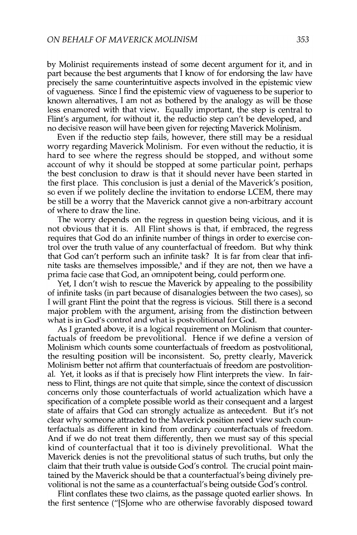by Molinist requirements instead of some decent argument for it, and in part because the best arguments that I know of for endorsing the law have precisely the same counterintuitive aspects involved in the epistemic view of vagueness. Since I find the epistemic view of vagueness to be superior to known alternatives, I am not as bothered by the analogy as will be those less enamored with that view. Equally important, the step is central to Flint's argument, for without it, the reductio step can't be developed, and no decisive reason will have been given for rejecting Maverick Molinism.

Even if the reductio step fails, however, there still may be a residual worry regarding Maverick Molinism. For even without the reductio, it is hard to see where the regress should be stopped, and without some account of why it should be stopped at some particular point, perhaps the best conclusion to draw is that it should never have been started in the first place. This conclusion is just a denial of the Maverick's position, so even if we politely decline the invitation to endorse LCEM, there may be still be a worry that the Maverick cannot give a non-arbitrary account of where to draw the line.

The worry depends on the regress in question being vicious, and it is not obvious that it is. All Flint shows is that, if embraced, the regress requires that God do an infinite number of things in order to exercise control over the truth value of any counterfactual of freedom. But why think that God can't perform such an infinite task? It is far from clear that infinite tasks are themselves impossible,<sup>9</sup> and if they are not, then we have a prima facie case that God, an omnipotent being, could perform one.

Yet, I don't wish to rescue the Maverick by appealing to the possibility of infinite tasks (in part because of disanalogies between the two cases), so I will grant Flint the point that the regress is vicious. Still there is a second major problem with the argument, arising from the distinction between what is in God's control and what is postvolitional for God.

As I granted above, it is a logical requirement on Molinism that counterfactuals of freedom be prevolitional. Hence if we define a version of Molinism which counts some counterfactuals of freedom as postvolitional, the resulting position will be inconsistent. So, pretty clearly, Maverick Molinism better not affirm that counterfactuals of freedom are postvolitional. Yet, it looks as if that is precisely how Flint interprets the view. In fairness to Flint, things are not quite that simple, since the context of discussion concerns only those counterfactuals of world actualization which have a specification of a complete possible world as their consequent and a largest state of affairs that God can strongly actualize as antecedent. But it's not clear why someone attracted to the Maverick position need view such counterfactuals as different in kind from ordinary counterfactuals of freedom. And if we do not treat them differently, then we must say of this special kind of counterfactual that it too is divinely prevolitional. What the Maverick denies is not the prevolitional status of such truths, but only the claim that their truth value is outside God's control. The crucial point maintained by the Maverick should be that a counterfactual's being divinely prevolitional is not the same as a counterfactual's being outside God's control.

Flint conflates these two claims, as the passage quoted earlier shows. In the first sentence ("[S]ome who are otherwise favorably disposed toward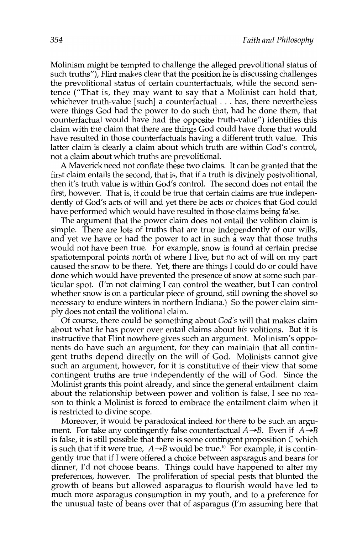Molinism might be tempted to challenge the alleged prevolitional status of such truths"), Flint makes clear that the position he is discussing challenges the prevolitional status of certain counterfactuals, while the second sentence ("That is, they may want to say that a Molinist can hold that, whichever truth-value [such] a counterfactual . . . has, there nevertheless were things God had the power to do such that, had he done them, that counterfactual would have had the opposite truth-value") identifies this claim with the claim that there are things God could have done that would have resulted in those counterfactuals having a different truth value. This latter claim is clearly a claim about which truth are within God's control, not a claim about which truths are prevolitional.

A Maverick need not conflate these two claims. It can be granted that the first claim entails the second, that is, that if a truth is divinely postvolitional, then it's truth value is within God's control. The second does not entail the first, however. That is, it could be true that certain claims are true independently of God's acts of will and yet there be acts or choices that God could have performed which would have resulted in those claims being false.

The argument that the power claim does not entail the volition claim is simple. There are lots of truths that are true independently of our wills, and yet we have or had the power to act in such a way that those truths would not have been true. For example, snow is found at certain precise spatiotemporal points north of where I live, but no act of will on my part caused the snow to be there. Yet, there are things I could do or could have done which would have prevented the presence of snow at some such particular spot. (I'm not claiming I can control the weather, but I can control whether snow is on a particular piece of ground, still owning the shovel so necessary to endure winters in northern Indiana.) So the power claim simply does not entail the volitional claim.

Of course, there could be something about God's will that makes claim about what he has power over entail claims about his volitions. But it is instructive that Flint nowhere gives such an argument. Molinism's opponents do have such an argument, for they can maintain that all contingent truths depend directly on the will of God. Molinists cannot give such an argument, however, for it is constitutive of their view that some contingent truths are true independently of the will of God. Since the Molinist grants this point already, and since the general entailment claim about the relationship between power and volition is false, I see no reason to think a Molinist is forced to embrace the entailment claim when it is restricted to divine scope.

Moreover, it would be paradoxical indeed for there to be such an argument. For take any contingently false counterfactual  $A \rightarrow B$ . Even if  $A \rightarrow B$ is false, it is still possible that there is some contingent proposition C which is such that if it were true,  $A \rightarrow B$  would be true.<sup>10</sup> For example, it is contingently true that if I were offered a choice between asparagus and beans for dinner, I'd not choose beans. Things could have happened to alter my preferences, however. The proliferation of special pests that blunted the growth of beans but allowed asparagus to flourish would have led to much more asparagus consumption in my youth, and to a preference for the unusual taste of beans over that of asparagus (I'm assuming here that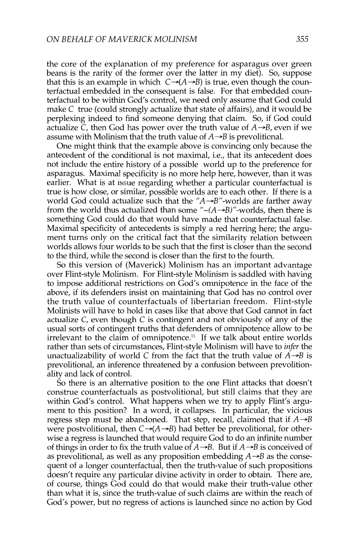the core of the explanation of my preference for asparagus over green beans is the rarity of the former over the latter in my diet). So, suppose that this is an example in which  $C \rightarrow (A \rightarrow B)$  is true, even though the counterfactual embedded in the consequent is false. For that embedded counterfactual to be within God's control, we need only assume that God could make C true (could strongly actualize that state of affairs), and it would be perplexing indeed to find someone denying that claim. So, if God could actualize C, then God has power over the truth value of  $A \rightarrow B$ , even if we assume with Molinism that the truth value of  $A \rightarrow B$  is prevolitional.

One might think that the example above is convincing only because the antecedent of the conditional is not maximal, Le., that its antecedent does not include the entire history of a possible world up to the preference for asparagus. Maximal specificity is no more help here, however, than it was earlier. What is at issue regarding whether a particular counterfactual is true is how close, or similar, possible worlds are to each other. If there is a world God could actualize such that the *"A-B"-worlds* are farther away from the world thus actualized than some " $\sim(A\rightarrow B)$ "-worlds, then there is something God could do that would have made that counterfactual false. Maximal specificity of antecedents is simply a red herring here; the argument turns only on the critical fact that the similarity relation between worlds allows four worlds to be such that the first is closer than the second to the third, while the second is closer than the first to the fourth.

So this version of (Maverick) Molinism has an important advantage over Flint-style Molinism. For Flint-style Molinism is saddled with having to impose additional restrictions on God's omnipotence in the face of the above, if its defenders insist on maintaining that God has no control over the truth value of counterfactuals of libertarian freedom. Flint-style Molinists will have to hold in cases like that above that God cannot in fact actualize C, even though C is contingent and not obviously of any of the usual sorts of contingent truths that defenders of omnipotence allow to be irrelevant to the claim of omnipotence.<sup>11</sup> If we talk about entire worlds rather than sets of circumstances, Flint-style Molinism will have to *infer* the unactualizability of world C from the fact that the truth value of  $A \rightarrow B$  is prevolitional, an inference threatened by a confusion between prevolitionality and lack of control.

So there is an alternative position to the one Flint attacks that doesn't construe counterfactuals as postvolitional, but still claims that they are within God's control. What happens when we try to apply Flint's argument to this position? In a word, it collapses. In particular, the vicious regress step must be abandoned. That step, recall, claimed that if  $A\rightarrow B$ were postvolitional, then  $C \rightarrow (A \rightarrow B)$  had better be prevolitional, for otherwise a regress is launched that would require God to do an infinite number of things in order to fix the truth value of  $A \rightarrow B$ . But if  $A \rightarrow B$  is conceived of as prevolitional, as well as any proposition embedding  $A \rightarrow B$  as the consequent of a longer counterfactual, then the truth-value of such propositions doesn't require any particular divine activity in order to obtain. There are, of course, things God could do that would make their truth-value other than what it is, since the truth-value of such claims are within the reach of God's power, but no regress of actions is launched since no action by God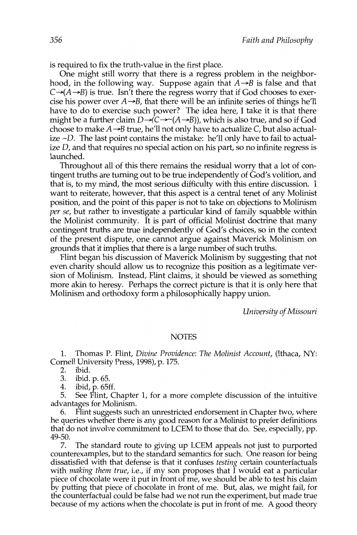is required to fix the truth-value in the first place.

One might still worry that there is a regress problem in the neighborhood, in the following way. Suppose again that  $A \rightarrow B$  is false and that  $C\rightarrow(A\rightarrow B)$  is true. Isn't there the regress worry that if God chooses to exercise his power over  $A \rightarrow B$ , that there will be an infinite series of things he'll have to do to exercise such power? The idea here, I take it is that there might be a further claim  $D\rightarrow (C\rightarrow (A\rightarrow B))$ , which is also true, and so if God choose to make  $A \rightarrow B$  true, he'll not only have to actualize C, but also actualize  $\neg D$ . The last point contains the mistake: he'll only have to fail to actualize D, and that requires no special action on his part, so no infinite regress is launched.

Throughout all of this there remains the residual worry that a lot of contingent truths are turning out to be true independently of God's volition, and that is, to my mind, the most serious difficulty with this entire discussion. I want to reiterate, however, that this aspect is a central tenet of any Molinist position, and the point of this paper is not to take on objections to Molinism *per se,* but rather to investigate a particular kind of family squabble within the Molinist community. It is part of official Molinist doctrine that many contingent truths are true independently of God's choices, so in the context of the present dispute, one cannot argue against Maverick Molinism on grounds that it implies that there is a large number of such truths.

Flint began his discussion of Maverick Molinism by suggesting that not even charity should allow us to recognize this position as a legitimate version of Molinism. Instead, Flint claims, it should be viewed as something more akin to heresy. Perhaps the correct picture is that it is only here that Molinism and orthodoxy form a philosophically happy union.

*University of Missouri* 

#### NOTES

1. Thomas P. Flint, *Divine Providence: The Molinist Account,* (Ithaca, NY: Cornell University Press, 1998), p. 175.

2. ibid.

3. ibid. p. 65.

4. ibid, p. 65ff.

5. See Flint, Chapter I, for a more complete discussion of the intuitive advantages for Molinism.

Flint suggests such an unrestricted endorsement in Chapter two, where he queries whether there is any good reason for a Molinist to prefer definitions that do not involve commitment to LCEM to those that do. See, especially, pp. 49-50.

7. The standard route to giving up LCEM appeals not just to purported counterexamples, but to the standard semantics for such. One reason for being dissatisfied with that defense is that it confuses *testing* certain counterfactuals with *making them true,* i.e., if my son proposes that I would eat a particular piece of chocolate were it put in front of me, we should be able to test his claim by putting that piece of chocolate in front of me. But, alas, we might fail, for the counterfactual could be false had we not run the experiment, but made true because of my actions when the chocolate is put in front of me. A good theory